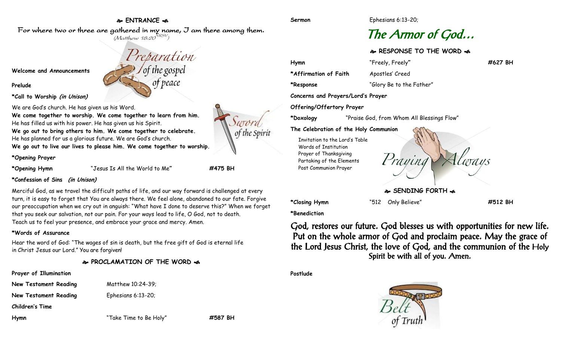# **ENTRANCE**

Preparation

of the gosper

of peace

For where two or three are gathered in my name, I am there among them.  $(M$ atthew 18:20 $^{NRSV})$ 

**Welcome and Announcements**

**Prelude**

**\*Call to Worship (in Unison)**

We are God's church. He has given us his Word.

**We come together to worship. We come together to learn from him.** He has filled us with his power. He has given us his Spirit. **We go out to bring others to him. We come together to celebrate.** He has planned for us a glorious future. We are God's church.

**We go out to live our lives to please him. We come together to worship.**

**\*Opening Prayer**

**\*Opening Hymn** "Jesus Is All the World to Me**" #475 BH**

**\*Confession of Sins (in Unison)**

Merciful God, as we travel the difficult paths of life, and our way forward is challenged at every turn, it is easy to forget that You are always there. We feel alone, abandoned to our fate. Forgive our preoccupation when we cry out in anguish: "What have I done to deserve this?" When we forget that you seek our salvation, not our pain. For your ways lead to life, O God, not to death. Teach us to feel your presence, and embrace your grace and mercy. Amen.

## **\*Words of Assurance**

Hear the word of God: "The wages of sin is death, but the free gift of God is eternal life in Christ Jesus our Lord." You are forgiven!

**PROCLAMATION OF THE WORD** 

## **Prayer of Illumination**

**New Testament Reading Matthew 10:24-39;** 

**New Testament Reading Ephesians 6:13-20;** 

**Children's Time**

**Hymn** "Take Time to Be Holy" **#587 BH**

**Sermon** Ephesians 6:13-20;

# The Armor of God…

**RESPONSE TO THE WORD** 

**Hymn** "Freely, Freely**" #627 BH \*Affirmation of Faith** Apostles' Creed **\*Response** "Glory Be to the Father" **Concerns and Prayers/Lord's Prayer Offering/Offertory Prayer \*Doxology** "Praise God, from Whom All Blessings Flow"

Invitation to the Lord's Table Words of Institution Prayer of Thanksgiving Partaking of the Elements Post Communion Prayer



**SENDING FORTH**

**\*Closing Hymn** "512 Only Believe" **#512 BH**

**\*Benediction**

God, restores our future. God blesses us with opportunities for new life. Put on the whole armor of God and proclaim peace. May the grace of the Lord Jesus Christ, the love of God, and the communion of the Holy Spirit be with all of you. Amen.

**Postlude**